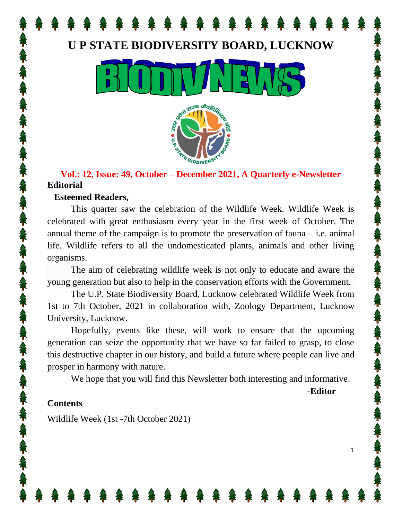## **U P STATE BIODIVERSITY BOARD, LUCKNOW**





## **Vol.: 12, Issue: 49, October – December 2021, A Quarterly e-Newsletter Editorial**

### **Esteemed Readers,**

This quarter saw the celebration of the Wildlife Week. Wildlife Week is celebrated with great enthusiasm every year in the first week of October. The annual theme of the campaign is to promote the preservation of fauna – i.e. animal life. Wildlife refers to all the undomesticated plants, animals and other living organisms.

The aim of celebrating wildlife week is not only to educate and aware the young generation but also to help in the conservation efforts with the Government.

The U.P. State Biodiversity Board, Lucknow celebrated Wildlife Week from 1st to 7th October, 2021 in collaboration with, Zoology Department, Lucknow University, Lucknow.

Hopefully, events like these, will work to ensure that the upcoming generation can seize the opportunity that we have so far failed to grasp, to close this destructive chapter in our history, and build a future where people can live and prosper in harmony with nature.

We hope that you will find this Newsletter both interesting and informative.

**-Editor**

1

## **Contents**

Wildlife Week (1st -7th October 2021)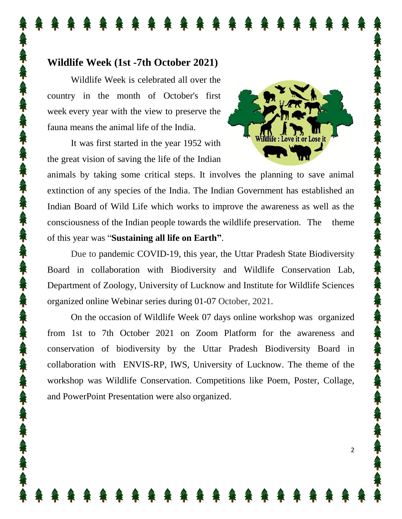## **Wildlife Week (1st -7th October 2021)**

Wildlife Week is celebrated all over the country in the month of October's first week every year with the view to preserve the fauna means the animal life of the India.

It was first started in the year 1952 with the great vision of saving the life of the Indian



2

animals by taking some critical steps. It involves the planning to save animal extinction of any species of the India. The Indian Government has established an Indian Board of Wild Life which works to improve the awareness as well as the consciousness of the Indian people towards the wildlife preservation. The theme of this year was "**Sustaining all life on Earth"**.

Due to pandemic COVID-19, this year, the Uttar Pradesh State Biodiversity Board in collaboration with Biodiversity and Wildlife Conservation Lab, Department of Zoology, University of Lucknow and Institute for Wildlife Sciences organized online Webinar series during 01-07 October, 2021.

On the occasion of Wildlife Week 07 days online workshop was organized from 1st to 7th October 2021 on Zoom Platform for the awareness and conservation of biodiversity by the Uttar Pradesh Biodiversity Board in collaboration with ENVIS-RP, IWS, University of Lucknow. The theme of the workshop was Wildlife Conservation. Competitions like Poem, Poster, Collage, and PowerPoint Presentation were also organized.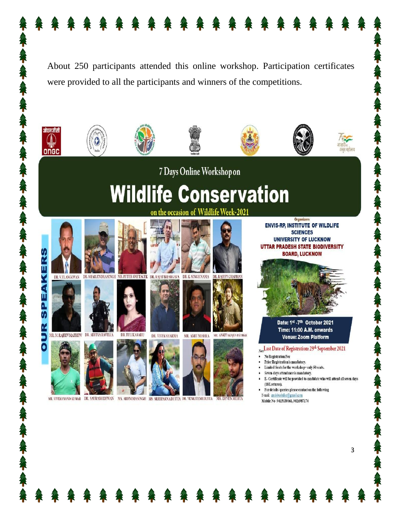













7 Days Online Workshop on

# **Wildlife Conservation** the occasion of Wildlife Week-2021



.

茶で入れ、







MR. VIVEKANAND KUMAR DR. SAURABHDEWAN MS. ARUNIMASINGH MS. SREEPARNADUTTA DR. VENKATESHDUTTA



DR. VIVEK SHARMA



MR. AMIT MISHRA







MR. ANKIT RANJAN PATHAK

**MR. DEVEN M** 





Date: 1st -7th October 2021 Time: 11:00 A.M. onwards **Venue: Zoom Platform** 

Note Last Date of Registration: 29th September 2021

- No Registration Fee
- Prior Registration is mandatory.
- Limited Seats for the workshop=only 50 seats.
- Seven-days attendance is mandatory.
- E- Certificate will be provided to candidate who will attend all seven days (18 Lectures).

 $\overline{3}$ 

- For details/ queries please contact on the following E-mail: envisiwslulko@gmail.com
- Mobile No-9415030061, 9026987174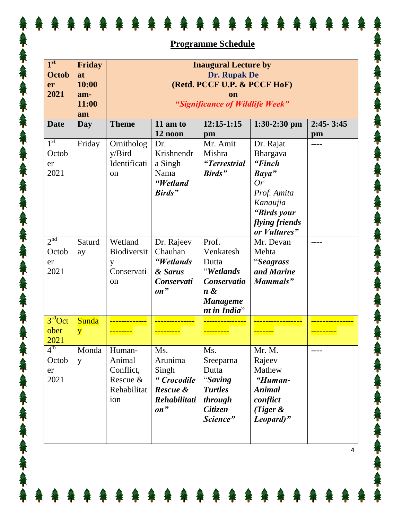|                                               | <b>Programme Schedule</b>                   |                                                                                                                |                                                                          |                                                                                                      |                                                                                                                            |                     |  |  |
|-----------------------------------------------|---------------------------------------------|----------------------------------------------------------------------------------------------------------------|--------------------------------------------------------------------------|------------------------------------------------------------------------------------------------------|----------------------------------------------------------------------------------------------------------------------------|---------------------|--|--|
| 1 <sup>st</sup><br><b>Octob</b><br>er<br>2021 | Friday<br>at<br>10:00<br>am-<br>11:00<br>am | <b>Inaugural Lecture by</b><br>Dr. Rupak De<br>(Retd. PCCF U.P. & PCCF HoF)<br>"Significance of Wildlife Week" |                                                                          |                                                                                                      |                                                                                                                            |                     |  |  |
| <b>Date</b>                                   | Day                                         | <b>Theme</b>                                                                                                   | $11$ am to<br>12 noon                                                    | $12:15-1:15$<br>pm                                                                                   | $1:30-2:30$ pm                                                                                                             | $2:45 - 3:45$<br>pm |  |  |
| 1 <sup>st</sup><br>Octob<br>er<br>2021        | Friday                                      | Ornitholog<br>y/Bird<br>Identificati<br><sub>on</sub>                                                          | Dr.<br>Krishnendr<br>a Singh<br>Nama<br>"Wetland<br>Birds"               | Mr. Amit<br>Mishra<br>"Terrestrial<br>Birds"                                                         | Dr. Rajat<br>Bhargava<br>"Finch<br>Baya"<br>Or<br>Prof. Amita<br>Kanaujia<br>"Birds your<br>flying friends<br>or Vultures" | ----                |  |  |
| 2 <sup>nd</sup><br>Octob<br>er<br>2021        | Saturd<br>ay                                | Wetland<br>Biodiversit<br>y<br>Conservati<br><sub>on</sub>                                                     | Dr. Rajeev<br>Chauhan<br>"Wetlands<br>& Sarus<br>Conservati<br>on"       | Prof.<br>Venkatesh<br>Dutta<br>"Wetlands<br>Conservatio<br>$n \&$<br><b>Manageme</b><br>nt in India" | Mr. Devan<br>Mehta<br>"Seagrass<br>and Marine<br>Mammals"                                                                  | ----                |  |  |
| 3 <sup>rd</sup> Oct<br>ober<br>2021           | <b>Sunda</b><br>$\mathbf{y}$                |                                                                                                                |                                                                          |                                                                                                      |                                                                                                                            |                     |  |  |
| $4^{\text{th}}$<br>Octob<br>er<br>2021        | Monda<br>y                                  | Human-<br>Animal<br>Conflict,<br>Rescue &<br>Rehabilitat<br>ion                                                | Ms.<br>Arunima<br>Singh<br>"Crocodile<br>Rescue &<br>Rehabilitati<br>on" | Ms.<br>Sreeparna<br>Dutta<br>"Saving<br><b>Turtles</b><br>through<br><b>Citizen</b><br>Science"      | Mr. M.<br>Rajeev<br>Mathew<br>"Human-<br><b>Animal</b><br>conflict<br>(Tiger $\&$<br>Leopard)"                             |                     |  |  |

谷

谷

谷谷

不会不会不

なくなくなく

なくなくなく

不会不会不会

なくなく

なくなくなく

年人年人年人年人年人年

全

谷

谷

谷

谷

谷

谷

谷

谷

谷

谷

谷

谷

谷

谷

谷

谷

谷

公

不

 $\mathbf{T}$ 

 $\mathbf{T}$ 

筝

谷

谷

谷

4